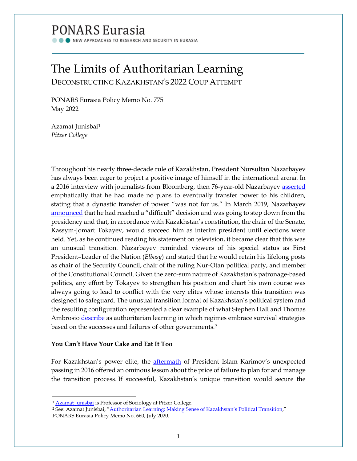# PONARS Eurasia

NEW APPROACHES TO RESEARCH AND SECURITY IN EURASIA

## The Limits of Authoritarian Learning DECONSTRUCTING KAZAKHSTAN'S 2022 COUP ATTEMPT

PONARS Eurasia Policy Memo No. 775 May 2022

Azamat Junisbai[1](#page-0-0) *Pitzer College*

Throughout his nearly three-decade rule of Kazakhstan, President Nursultan Nazarbayev has always been eager to project a positive image of himself in the international arena. In a 2016 interview with journalists from Bloomberg, then 76-year-old Nazarbayev [asserted](https://www.bloomberg.com/news/articles/2016-11-23/kazakh-president-nazarbayev-says-power-won-t-be-family-business) emphatically that he had made no plans to eventually transfer power to his children, stating that a dynastic transfer of power "was not for us." In March 2019, Nazarbayev [announced](https://www.washingtonpost.com/world/asia_pacific/kazakhstan-president-nazarbayev-to-step-down-after-nearly-30-years-in-power/2019/03/19/c93fdcd0-4a4b-11e9-b79a-961983b7e0cd_story.html) that he had reached a "difficult" decision and was going to step down from the presidency and that, in accordance with Kazakhstan's constitution, the chair of the Senate, Kassym-Jomart Tokayev, would succeed him as interim president until elections were held. Yet, as he continued reading his statement on television, it became clear that this was an unusual transition. Nazarbayev reminded viewers of his special status as First President–Leader of the Nation (*Elbasy*) and stated that he would retain his lifelong posts as chair of the Security Council, chair of the ruling Nur-Otan political party, and member of the Constitutional Council. Given the zero-sum nature of Kazakhstan's patronage-based politics, any effort by Tokayev to strengthen his position and chart his own course was always going to lead to conflict with the very elites whose interests this transition was designed to safeguard. The unusual transition format of Kazakhstan's political system and the resulting configuration represented a clear example of what Stephen Hall and Thomas Ambrosio [describe](https://doi.org/10.1080/21599165.2017.1307826) as authoritarian learning in which regimes embrace survival strategies based on the successes and failures of other governments.[2](#page-0-1)

### **You Can't Have Your Cake and Eat It Too**

For Kazakhstan's power elite, the **aftermath** of President Islam Karimov's unexpected passing in 2016 offered an ominous lesson about the price of failure to plan for and manage the transition process. If successful, Kazakhstan's unique transition would secure the

<sup>&</sup>lt;sup>1</sup> Azamat [Junisbai](http://www.ponarseurasia.org/members/azamat-junisbai)</u> is Professor of Sociology at Pitzer College.

<span id="page-0-1"></span><span id="page-0-0"></span><sup>&</sup>lt;sup>2</sup> See: Azamat Junisbai, ["Authoritarian Learning: Making Sense of Kazakhstan's Political Transition,"](https://www.ponarseurasia.org/authoritarian-learning-making-sense-of-kazakhstan-s-political-transition/) PONARS Eurasia Policy Memo No. 660, July 2020.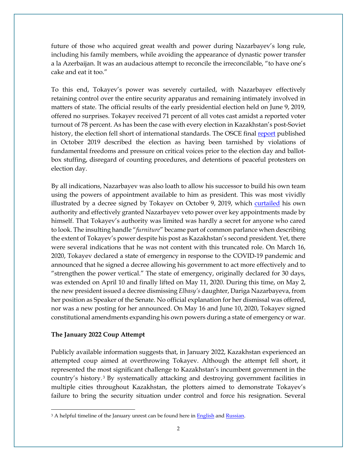future of those who acquired great wealth and power during Nazarbayev's long rule, including his family members, while avoiding the appearance of dynastic power transfer a la Azerbaijan. It was an audacious attempt to reconcile the irreconcilable, "to have one's cake and eat it too."

To this end, Tokayev's power was severely curtailed, with Nazarbayev effectively retaining control over the entire security apparatus and remaining intimately involved in matters of state. The official results of the early presidential election held on June 9, 2019, offered no surprises. Tokayev received 71 percent of all votes cast amidst a reported voter turnout of 78 percent. As has been the case with every election in Kazakhstan's post-Soviet history, the election fell short of international standards. The OSCE final [report](https://www.osce.org/odihr/elections/kazakhstan/434459) published in October 2019 described the election as having been tarnished by violations of fundamental freedoms and pressure on critical voices prior to the election day and ballotbox stuffing, disregard of counting procedures, and detentions of peaceful protesters on election day.

By all indications, Nazarbayev was also loath to allow his successor to build his own team using the powers of appointment available to him as president. This was most vividly illustrated by a decree signed by Tokayev on October 9, 2019, which [curtailed](https://eurasianet.org/who-really-is-kazakhstans-leader-of-the-nation) his own authority and effectively granted Nazarbayev veto power over key appointments made by himself. That Tokayev's authority was limited was hardly a secret for anyone who cared to look. The insulting handle "*furniture*" became part of common parlance when describing the extent of Tokayev's power despite his post as Kazakhstan's second president. Yet, there were several indications that he was not content with this truncated role. On March 16, 2020, Tokayev declared a state of emergency in response to the COVID-19 pandemic and announced that he signed a decree allowing his government to act more effectively and to "strengthen the power vertical." The state of emergency, originally declared for 30 days, was extended on April 10 and finally lifted on May 11, 2020. During this time, on May 2, the new president issued a decree dismissing *Elbasy's* daughter, Dariga Nazarbayeva, from her position as Speaker of the Senate. No official explanation for her dismissal was offered, nor was a new posting for her announced. On May 16 and June 10, 2020, Tokayev signed constitutional amendments expanding his own powers during a state of emergency or war.

#### **The January 2022 Coup Attempt**

Publicly available information suggests that, in January 2022, Kazakhstan experienced an attempted coup aimed at overthrowing Tokayev. Although the attempt fell short, it represented the most significant challenge to Kazakhstan's incumbent government in the country's history. [3](#page-1-0) By systematically attacking and destroying government facilities in multiple cities throughout Kazakhstan, the plotters aimed to demonstrate Tokayev's failure to bring the security situation under control and force his resignation. Several

<span id="page-1-0"></span><sup>&</sup>lt;sup>3</sup> A helpful timeline of the January unrest can be found here in **English** an[d Russian.](https://rus.azattyq.org/a/kazakhstan-unrest-timeline/31654270.html)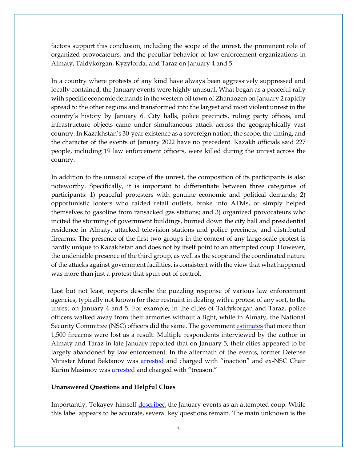factors support this conclusion, including the scope of the unrest, the prominent role of organized provocateurs, and the peculiar behavior of law enforcement organizations in Almaty, Taldykorgan, Kyzylorda, and Taraz on January 4 and 5.

In a country where protests of any kind have always been aggressively suppressed and locally contained, the January events were highly unusual. What began as a peaceful rally with specific economic demands in the western oil town of Zhanaozen on January 2 rapidly spread to the other regions and transformed into the largest and most violent unrest in the country's history by January 6. City halls, police precincts, ruling party offices, and infrastructure objects came under simultaneous attack across the geographically vast country. In Kazakhstan's 30-year existence as a sovereign nation, the scope, the timing, and the character of the events of January 2022 have no precedent. Kazakh officials said 227 people, including 19 law enforcement officers, were killed during the unrest across the country.

In addition to the unusual scope of the unrest, the composition of its participants is also noteworthy. Specifically, it is important to differentiate between three categories of participants: 1) peaceful protesters with genuine economic and political demands; 2) opportunistic looters who raided retail outlets, broke into ATMs, or simply helped themselves to gasoline from ransacked gas stations; and 3) organized provocateurs who incited the storming of government buildings, burned down the city hall and presidential residence in Almaty, attacked television stations and police precincts, and distributed firearms. The presence of the first two groups in the context of any large-scale protest is hardly unique to Kazakhstan and does not by itself point to an attempted coup. However, the undeniable presence of the third group, as well as the scope and the coordinated nature of the attacks against government facilities, is consistent with the view that what happened was more than just a protest that spun out of control.

Last but not least, reports describe the puzzling response of various law enforcement agencies, typically not known for their restraint in dealing with a protest of any sort, to the unrest on January 4 and 5. For example, in the cities of Taldykorgan and Taraz, police officers walked away from their armories without a fight, while in Almaty, the National Security Committee (NSC) officers did the same. The governmen[t estimates](https://vlast.kz/novosti/48544-sotrudniki-departamentov-policii-i-knb-v-rade-regionov-proavili-bezdejstvie-vo-vrema-anvarskih-besporadkov-specprokuror.html) that more than 1,500 firearms were lost as a result. Multiple respondents interviewed by the author in Almaty and Taraz in late January reported that on January 5, their cities appeared to be largely abandoned by law enforcement. In the aftermath of the events, former Defense Minister Murat Bektanov was [arrested](https://www.aljazeera.com/news/2022/2/21/kazakhstan-detains-ex-defence-minister-for-inaction-during-unrest) and charged with "inaction" and ex-NSC Chair Karim Masimov was **arrested** and charged with "treason."

#### **Unanswered Questions and Helpful Clues**

Importantly, Tokayev himself [described](https://www.bbc.com/news/world-asia-59900738) the January events as an attempted coup. While this label appears to be accurate, several key questions remain. The main unknown is the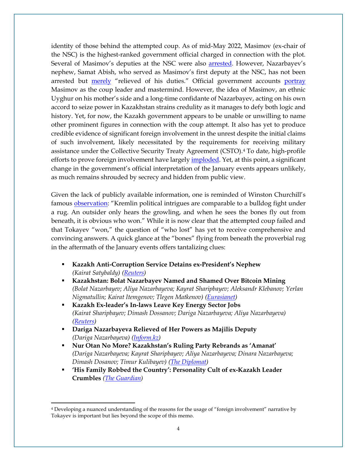identity of those behind the attempted coup. As of mid-May 2022, Masimov (ex-chair of the NSC) is the highest-ranked government official charged in connection with the plot. Several of Masimov's deputies at the NSC were also [arrested.](https://www.rferl.org/a/kazakhstan-toqaev-security-service-distrust/31660317.html) However, Nazarbayev's nephew, Samat Abish, who served as Masimov's first deputy at the NSC, has not been arrested but [merely](https://www.inform.kz/en/samat-abish-relieved-of-the-post-of-1st-deputy-chairman-of-national-security-council_a3886731) "relieved of his duties." Official government accounts [portray](https://eurasianet.org/kazakhstan-ex-security-services-boss-in-frame-for-treason-also-accused-of-corruption) Masimov as the coup leader and mastermind. However, the idea of Masimov, an ethnic Uyghur on his mother's side and a long-time confidante of Nazarbayev, acting on his own accord to seize power in Kazakhstan strains credulity as it manages to defy both logic and history. Yet, for now, the Kazakh government appears to be unable or unwilling to name other prominent figures in connection with the coup attempt. It also has yet to produce credible evidence of significant foreign involvement in the unrest despite the initial claims of such involvement, likely necessitated by the requirements for receiving military assistance under the Collective Security Treaty Agreement (CSTO).[4](#page-3-0) To date, high-profile efforts to prove foreign involvement have largely *imploded*. Yet, at this point, a significant change in the government's official interpretation of the January events appears unlikely, as much remains shrouded by secrecy and hidden from public view.

Given the lack of publicly available information, one is reminded of Winston Churchill's famous [observation:](https://www.goodreads.com/quotes/6683634-kremlin-political-intrigues-are-comparable-to-a-bulldog-fight-under) "Kremlin political intrigues are comparable to a bulldog fight under a rug. An outsider only hears the growling, and when he sees the bones fly out from beneath, it is obvious who won." While it is now clear that the attempted coup failed and that Tokayev "won," the question of "who lost" has yet to receive comprehensive and convincing answers. A quick glance at the "bones" flying from beneath the proverbial rug in the aftermath of the January events offers tantalizing clues:

- **Kazakh Anti-Corruption Service Detains ex-President's Nephew** *(Kairat Satybaldy) [\(Reuters\)](https://www.reuters.com/world/asia-pacific/kazakh-anti-corruption-service-detains-ex-presidents-nephew-2022-03-13/)*
- **Kazakhstan: Bolat Nazarbayev Named and Shamed Over Bitcoin Mining**  *(Bolat Nazarbayev; Aliya Nazarbayeva; Kayrat Sharipbayev; Aleksandr Klebanov; Yerlan Nigmatullin; Kairat Itemgenov; Tlegen Matkenov) [\(Eurasianet\)](https://eurasianet.org/kazakhstan-bolat-nazarbayev-named-and-shamed-over-bitcoin-mining)*
- **Kazakh Ex-leader's In-laws Leave Key Energy Sector Jobs** *(Kairat Sharipbayev; Dimash Dossanov; Dariga Nazarbayeva; Aliya Nazarbayeva) [\(Reuters\)](https://www.reuters.com/world/asia-pacific/kazakh-ex-leaders-in-laws-leave-key-energy-sector-jobs-2022-01-15/)*
- **Dariga Nazarbayeva Relieved of Her Powers as Majilis Deputy** *(Dariga Nazarbayeva) [\(Inform.kz\)](https://www.inform.kz/en/dariga-nazarbayeva-relieved-of-her-powers-as-majilis-deputy_a3906207)*
- **Nur Otan No More? Kazakhstan's Ruling Party Rebrands as 'Amanat'** *(Dariga Nazarbayeva; Kayrat Sharipbayev; Aliya Nazarbayeva; Dinara Nazarbayeva; Dimash Dosanov; Timur Kulibayev) [\(The Diplomat\)](https://thediplomat.com/2022/03/nur-otan-no-more-kazakhstans-ruling-party-rebrands-as-amanat/)*
- **'His Family Robbed the Country': Personality Cult of ex-Kazakh Leader Crumbles** *[\(The Guardian\)](https://www.theguardian.com/world/2022/jan/20/nursultan-nazarbayev-family-robbed-country-personality-cult-of-ex-kazakh-leader-crumbles)*

<span id="page-3-0"></span><sup>4</sup> Developing a nuanced understanding of the reasons for the usage of "foreign involvement" narrative by Tokayev is important but lies beyond the scope of this memo.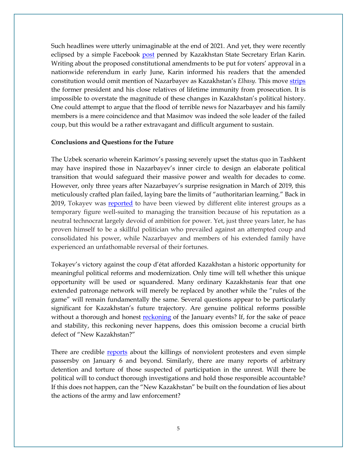Such headlines were utterly unimaginable at the end of 2021. And yet, they were recently eclipsed by a simple Facebook [post](https://www.facebook.com/karin.erlan/posts/705629380628839) penned by Kazakhstan State Secretary Erlan Karin. Writing about the proposed constitutional amendments to be put for voters' approval in a nationwide referendum in early June, Karin informed his readers that the amended constitution would omit mention of Nazarbayev as Kazakhstan's *Elbasy.* This move [strips](https://eurasianet.org/kazakhstan-nazarbayev-to-lose-his-place-in-constitution) the former president and his close relatives of lifetime immunity from prosecution. It is impossible to overstate the magnitude of these changes in Kazakhstan's political history. One could attempt to argue that the flood of terrible news for Nazarbayev and his family members is a mere coincidence and that Masimov was indeed the sole leader of the failed coup, but this would be a rather extravagant and difficult argument to sustain.

#### **Conclusions and Questions for the Future**

The Uzbek scenario wherein Karimov's passing severely upset the status quo in Tashkent may have inspired those in Nazarbayev's inner circle to design an elaborate political transition that would safeguard their massive power and wealth for decades to come. However, only three years after Nazarbayev's surprise resignation in March of 2019, this meticulously crafted plan failed, laying bare the limits of "authoritarian learning." Back in 2019, Tokayev was [reported](https://eurasianet.org/kazakhstan-and-its-presidential-election-a-new-chapter-or-more-of-the-same) to have been viewed by different elite interest groups as a temporary figure well-suited to managing the transition because of his reputation as a neutral technocrat largely devoid of ambition for power. Yet, just three years later, he has proven himself to be a skillful politician who prevailed against an attempted coup and consolidated his power, while Nazarbayev and members of his extended family have experienced an unfathomable reversal of their fortunes.

Tokayev's victory against the coup d'état afforded Kazakhstan a historic opportunity for meaningful political reforms and modernization. Only time will tell whether this unique opportunity will be used or squandered. Many ordinary Kazakhstanis fear that one extended patronage network will merely be replaced by another while the "rules of the game" will remain fundamentally the same. Several questions appear to be particularly significant for Kazakhstan's future trajectory. Are genuine political reforms possible without a thorough and honest [reckoning](https://www.hrw.org/news/2022/02/09/kazakhstan-set-independent-inquiry-january-events) of the January events? If, for the sake of peace and stability, this reckoning never happens, does this omission become a crucial birth defect of "New Kazakhstan?"

There are credible [reports](https://www.hrw.org/news/2022/01/26/kazakhstan-killings-excessive-use-force-almaty) about the killings of nonviolent protesters and even simple passersby on January 6 and beyond. Similarly, there are many reports of arbitrary detention and torture of those suspected of participation in the unrest. Will there be political will to conduct thorough investigations and hold those responsible accountable? If this does not happen, can the "New Kazakhstan" be built on the foundation of lies about the actions of the army and law enforcement?